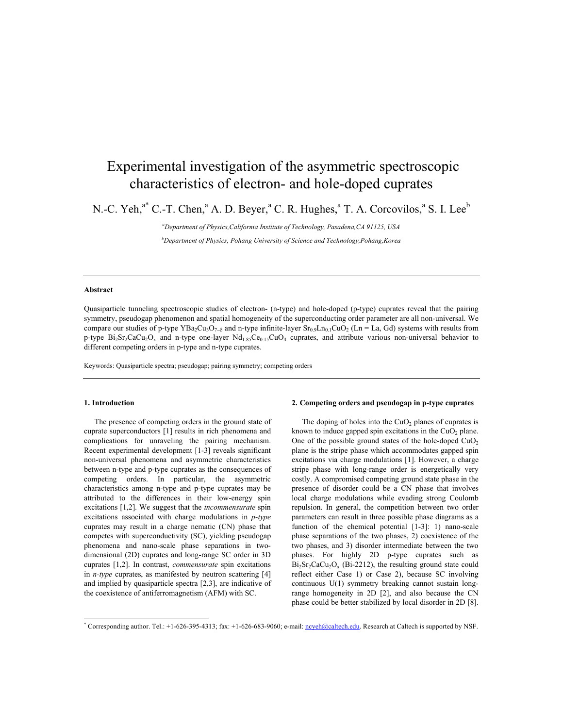# Experimental investigation of the asymmetric spectroscopic characteristics of electron- and hole-doped cuprates

N.-C. Yeh,<sup>a\*</sup> C.-T. Chen,<sup>a</sup> A. D. Beyer,<sup>a</sup> C. R. Hughes,<sup>a</sup> T. A. Corcovilos,<sup>a</sup> S. I. Lee<sup>b</sup>

*a Department of Physics,California Institute of Technology, Pasadena,CA 91125, USA b Department of Physics, Pohang University of Science and Technology,Pohang,Korea* 

## **Abstract**

Quasiparticle tunneling spectroscopic studies of electron- (n-type) and hole-doped (p-type) cuprates reveal that the pairing symmetry, pseudogap phenomenon and spatial homogeneity of the superconducting order parameter are all non-universal. We compare our studies of p-type YBa<sub>2</sub>Cu<sub>3</sub>O<sub>7−δ</sub> and n-type infinite-layer Sr<sub>0.9</sub>Ln<sub>0.1</sub>CuO<sub>2</sub> (Ln = La, Gd) systems with results from p-type  $Bi_2Sr_2CaCu_2O_x$  and n-type one-layer  $Nd_{1.85}Ce_{0.15}CuO_4$  cuprates, and attribute various non-universal behavior to different competing orders in p-type and n-type cuprates.

Keywords: Quasiparticle spectra; pseudogap; pairing symmetry; competing orders

### **1. Introduction**

 $\overline{a}$ 

The presence of competing orders in the ground state of cuprate superconductors [1] results in rich phenomena and complications for unraveling the pairing mechanism. Recent experimental development [1-3] reveals significant non-universal phenomena and asymmetric characteristics between n-type and p-type cuprates as the consequences of competing orders. In particular, the asymmetric characteristics among n-type and p-type cuprates may be attributed to the differences in their low-energy spin excitations [1,2]. We suggest that the *incommensurate* spin excitations associated with charge modulations in *p-type* cuprates may result in a charge nematic (CN) phase that competes with superconductivity (SC), yielding pseudogap phenomena and nano-scale phase separations in twodimensional (2D) cuprates and long-range SC order in 3D cuprates [1,2]. In contrast, *commensurate* spin excitations in *n-type* cuprates, as manifested by neutron scattering [4] and implied by quasiparticle spectra [2,3], are indicative of the coexistence of antiferromagnetism (AFM) with SC.

#### **2. Competing orders and pseudogap in p-type cuprates**

The doping of holes into the  $CuO<sub>2</sub>$  planes of cuprates is known to induce gapped spin excitations in the  $CuO<sub>2</sub>$  plane. One of the possible ground states of the hole-doped  $CuO<sub>2</sub>$ plane is the stripe phase which accommodates gapped spin excitations via charge modulations [1]. However, a charge stripe phase with long-range order is energetically very costly. A compromised competing ground state phase in the presence of disorder could be a CN phase that involves local charge modulations while evading strong Coulomb repulsion. In general, the competition between two order parameters can result in three possible phase diagrams as a function of the chemical potential  $[1-3]$ : 1) nano-scale phase separations of the two phases, 2) coexistence of the two phases, and 3) disorder intermediate between the two phases. For highly 2D p-type cuprates such as  $Bi<sub>2</sub>Sr<sub>2</sub>CaCu<sub>2</sub>O<sub>x</sub>$  (Bi-2212), the resulting ground state could reflect either Case 1) or Case 2), because SC involving continuous U(1) symmetry breaking cannot sustain longrange homogeneity in 2D [2], and also because the CN phase could be better stabilized by local disorder in 2D [8].

<sup>\*</sup> Corresponding author. Tel.: +1-626-395-4313; fax: +1-626-683-9060; e-mail: noveh@caltech.edu. Research at Caltech is supported by NSF.